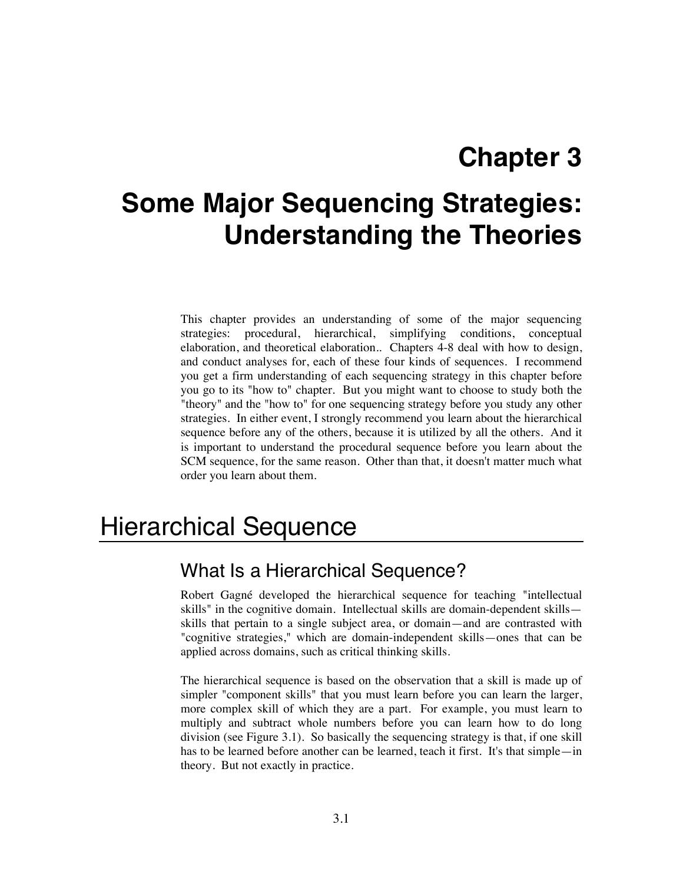# **Chapter 3**

# **Some Major Sequencing Strategies: Understanding the Theories**

This chapter provides an understanding of some of the major sequencing strategies: procedural, hierarchical, simplifying conditions, conceptual elaboration, and theoretical elaboration.. Chapters 4-8 deal with how to design, and conduct analyses for, each of these four kinds of sequences. I recommend you get a firm understanding of each sequencing strategy in this chapter before you go to its "how to" chapter. But you might want to choose to study both the "theory" and the "how to" for one sequencing strategy before you study any other strategies. In either event, I strongly recommend you learn about the hierarchical sequence before any of the others, because it is utilized by all the others. And it is important to understand the procedural sequence before you learn about the SCM sequence, for the same reason. Other than that, it doesn't matter much what order you learn about them.

## Hierarchical Sequence

### What Is a Hierarchical Sequence?

Robert Gagné developed the hierarchical sequence for teaching "intellectual skills" in the cognitive domain. Intellectual skills are domain-dependent skills skills that pertain to a single subject area, or domain—and are contrasted with "cognitive strategies," which are domain-independent skills—ones that can be applied across domains, such as critical thinking skills.

The hierarchical sequence is based on the observation that a skill is made up of simpler "component skills" that you must learn before you can learn the larger, more complex skill of which they are a part. For example, you must learn to multiply and subtract whole numbers before you can learn how to do long division (see Figure 3.1). So basically the sequencing strategy is that, if one skill has to be learned before another can be learned, teach it first. It's that simple—in theory. But not exactly in practice.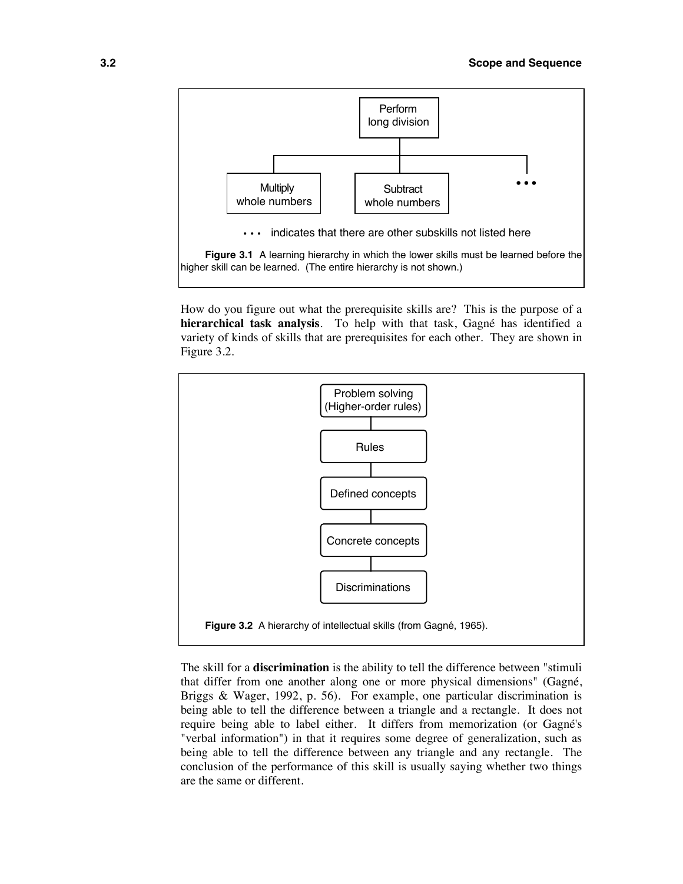

How do you figure out what the prerequisite skills are? This is the purpose of a **hierarchical task analysis**. To help with that task, Gagné has identified a variety of kinds of skills that are prerequisites for each other. They are shown in Figure 3.2.



The skill for a **discrimination** is the ability to tell the difference between "stimuli that differ from one another along one or more physical dimensions" (Gagné, Briggs & Wager, 1992, p. 56). For example, one particular discrimination is being able to tell the difference between a triangle and a rectangle. It does not require being able to label either. It differs from memorization (or Gagné's "verbal information") in that it requires some degree of generalization, such as being able to tell the difference between any triangle and any rectangle. The conclusion of the performance of this skill is usually saying whether two things are the same or different.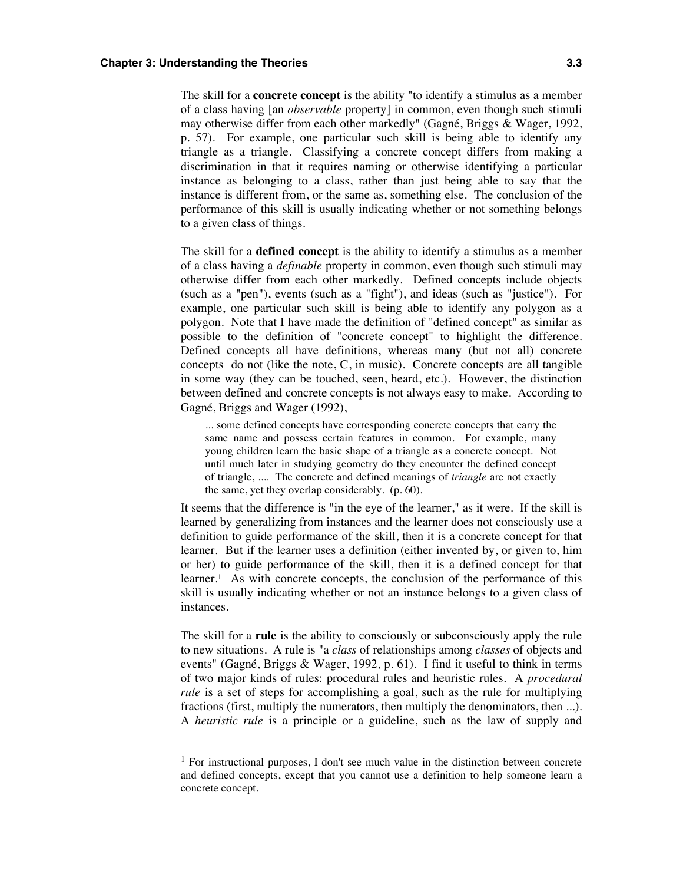The skill for a **concrete concept** is the ability "to identify a stimulus as a member of a class having [an *observable* property] in common, even though such stimuli may otherwise differ from each other markedly" (Gagné, Briggs & Wager, 1992, p. 57). For example, one particular such skill is being able to identify any triangle as a triangle. Classifying a concrete concept differs from making a discrimination in that it requires naming or otherwise identifying a particular instance as belonging to a class, rather than just being able to say that the instance is different from, or the same as, something else. The conclusion of the performance of this skill is usually indicating whether or not something belongs to a given class of things.

The skill for a **defined concept** is the ability to identify a stimulus as a member of a class having a *definable* property in common, even though such stimuli may otherwise differ from each other markedly. Defined concepts include objects (such as a "pen"), events (such as a "fight"), and ideas (such as "justice"). For example, one particular such skill is being able to identify any polygon as a polygon. Note that I have made the definition of "defined concept" as similar as possible to the definition of "concrete concept" to highlight the difference. Defined concepts all have definitions, whereas many (but not all) concrete concepts do not (like the note, C, in music). Concrete concepts are all tangible in some way (they can be touched, seen, heard, etc.). However, the distinction between defined and concrete concepts is not always easy to make. According to Gagné, Briggs and Wager (1992),

... some defined concepts have corresponding concrete concepts that carry the same name and possess certain features in common. For example, many young children learn the basic shape of a triangle as a concrete concept. Not until much later in studying geometry do they encounter the defined concept of triangle, .... The concrete and defined meanings of *triangle* are not exactly the same, yet they overlap considerably. (p. 60).

It seems that the difference is "in the eye of the learner," as it were. If the skill is learned by generalizing from instances and the learner does not consciously use a definition to guide performance of the skill, then it is a concrete concept for that learner. But if the learner uses a definition (either invented by, or given to, him or her) to guide performance of the skill, then it is a defined concept for that learner.1 As with concrete concepts, the conclusion of the performance of this skill is usually indicating whether or not an instance belongs to a given class of instances.

The skill for a **rule** is the ability to consciously or subconsciously apply the rule to new situations. A rule is "a *class* of relationships among *classes* of objects and events" (Gagné, Briggs & Wager, 1992, p. 61). I find it useful to think in terms of two major kinds of rules: procedural rules and heuristic rules. A *procedural rule* is a set of steps for accomplishing a goal, such as the rule for multiplying fractions (first, multiply the numerators, then multiply the denominators, then ...). A *heuristic rule* is a principle or a guideline, such as the law of supply and

<sup>&</sup>lt;sup>1</sup> For instructional purposes, I don't see much value in the distinction between concrete and defined concepts, except that you cannot use a definition to help someone learn a concrete concept.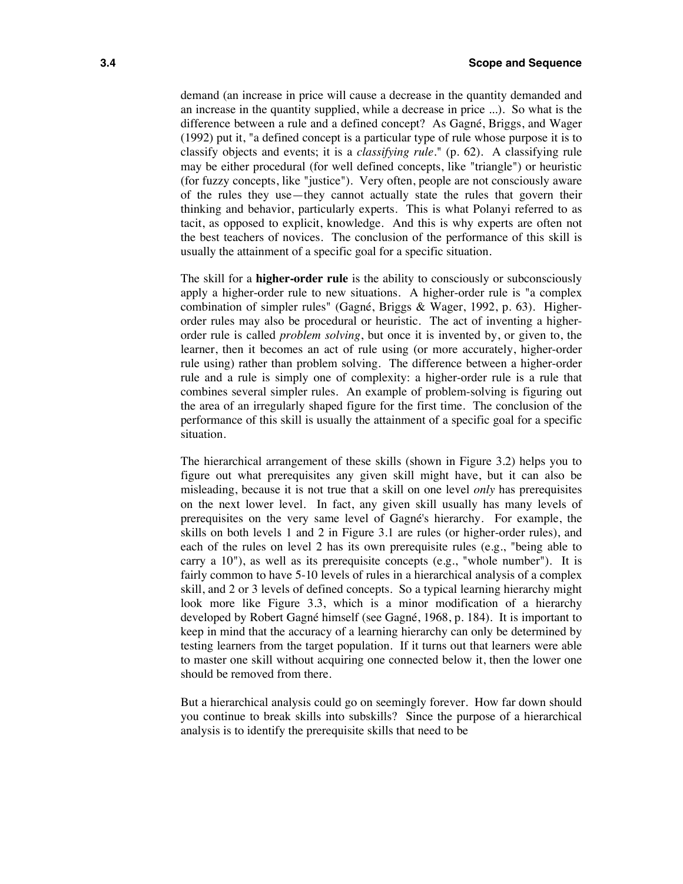demand (an increase in price will cause a decrease in the quantity demanded and an increase in the quantity supplied, while a decrease in price ...). So what is the difference between a rule and a defined concept? As Gagné, Briggs, and Wager (1992) put it, "a defined concept is a particular type of rule whose purpose it is to classify objects and events; it is a *classifying rule*." (p. 62). A classifying rule may be either procedural (for well defined concepts, like "triangle") or heuristic (for fuzzy concepts, like "justice"). Very often, people are not consciously aware of the rules they use—they cannot actually state the rules that govern their thinking and behavior, particularly experts. This is what Polanyi referred to as tacit, as opposed to explicit, knowledge. And this is why experts are often not the best teachers of novices. The conclusion of the performance of this skill is usually the attainment of a specific goal for a specific situation.

The skill for a **higher-order rule** is the ability to consciously or subconsciously apply a higher-order rule to new situations. A higher-order rule is "a complex combination of simpler rules" (Gagné, Briggs & Wager, 1992, p. 63). Higherorder rules may also be procedural or heuristic. The act of inventing a higherorder rule is called *problem solving*, but once it is invented by, or given to, the learner, then it becomes an act of rule using (or more accurately, higher-order rule using) rather than problem solving. The difference between a higher-order rule and a rule is simply one of complexity: a higher-order rule is a rule that combines several simpler rules. An example of problem-solving is figuring out the area of an irregularly shaped figure for the first time. The conclusion of the performance of this skill is usually the attainment of a specific goal for a specific situation.

The hierarchical arrangement of these skills (shown in Figure 3.2) helps you to figure out what prerequisites any given skill might have, but it can also be misleading, because it is not true that a skill on one level *only* has prerequisites on the next lower level. In fact, any given skill usually has many levels of prerequisites on the very same level of Gagné's hierarchy. For example, the skills on both levels 1 and 2 in Figure 3.1 are rules (or higher-order rules), and each of the rules on level 2 has its own prerequisite rules (e.g., "being able to carry a 10"), as well as its prerequisite concepts (e.g., "whole number"). It is fairly common to have 5-10 levels of rules in a hierarchical analysis of a complex skill, and 2 or 3 levels of defined concepts. So a typical learning hierarchy might look more like Figure 3.3, which is a minor modification of a hierarchy developed by Robert Gagné himself (see Gagné, 1968, p. 184). It is important to keep in mind that the accuracy of a learning hierarchy can only be determined by testing learners from the target population. If it turns out that learners were able to master one skill without acquiring one connected below it, then the lower one should be removed from there.

But a hierarchical analysis could go on seemingly forever. How far down should you continue to break skills into subskills? Since the purpose of a hierarchical analysis is to identify the prerequisite skills that need to be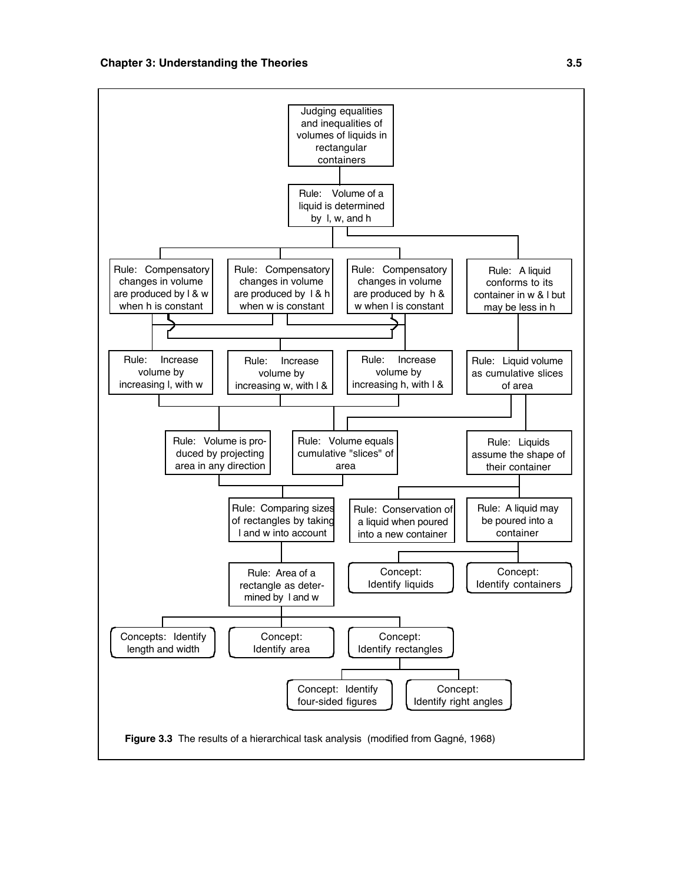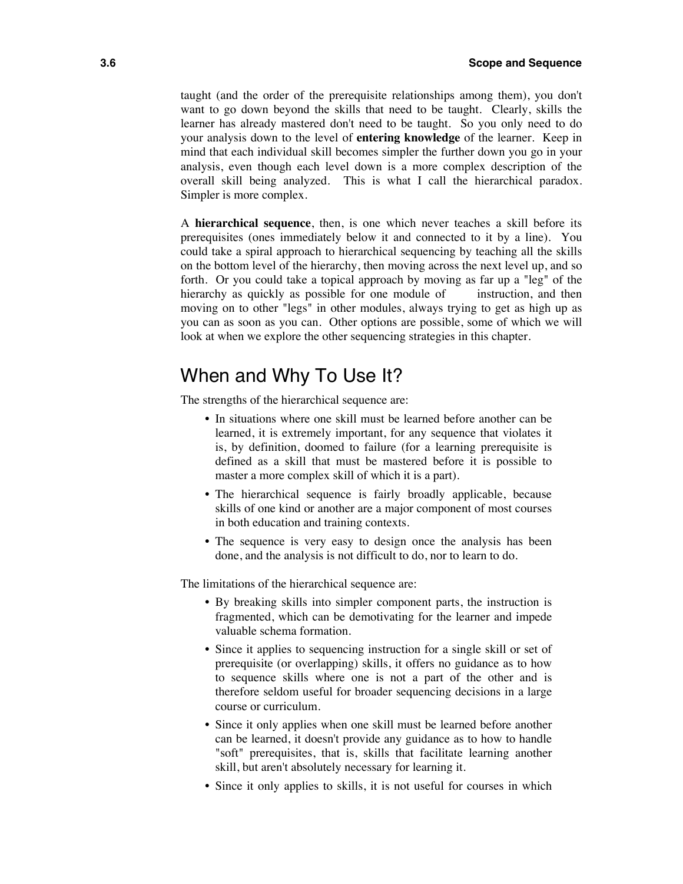taught (and the order of the prerequisite relationships among them), you don't want to go down beyond the skills that need to be taught. Clearly, skills the learner has already mastered don't need to be taught. So you only need to do your analysis down to the level of **entering knowledge** of the learner. Keep in mind that each individual skill becomes simpler the further down you go in your analysis, even though each level down is a more complex description of the overall skill being analyzed. This is what I call the hierarchical paradox. Simpler is more complex.

A **hierarchical sequence**, then, is one which never teaches a skill before its prerequisites (ones immediately below it and connected to it by a line). You could take a spiral approach to hierarchical sequencing by teaching all the skills on the bottom level of the hierarchy, then moving across the next level up, and so forth. Or you could take a topical approach by moving as far up a "leg" of the hierarchy as quickly as possible for one module of instruction, and then moving on to other "legs" in other modules, always trying to get as high up as you can as soon as you can. Other options are possible, some of which we will look at when we explore the other sequencing strategies in this chapter.

## When and Why To Use It?

The strengths of the hierarchical sequence are:

- In situations where one skill must be learned before another can be learned, it is extremely important, for any sequence that violates it is, by definition, doomed to failure (for a learning prerequisite is defined as a skill that must be mastered before it is possible to master a more complex skill of which it is a part).
- The hierarchical sequence is fairly broadly applicable, because skills of one kind or another are a major component of most courses in both education and training contexts.
- The sequence is very easy to design once the analysis has been done, and the analysis is not difficult to do, nor to learn to do.

The limitations of the hierarchical sequence are:

- By breaking skills into simpler component parts, the instruction is fragmented, which can be demotivating for the learner and impede valuable schema formation.
- Since it applies to sequencing instruction for a single skill or set of prerequisite (or overlapping) skills, it offers no guidance as to how to sequence skills where one is not a part of the other and is therefore seldom useful for broader sequencing decisions in a large course or curriculum.
- Since it only applies when one skill must be learned before another can be learned, it doesn't provide any guidance as to how to handle "soft" prerequisites, that is, skills that facilitate learning another skill, but aren't absolutely necessary for learning it.
- Since it only applies to skills, it is not useful for courses in which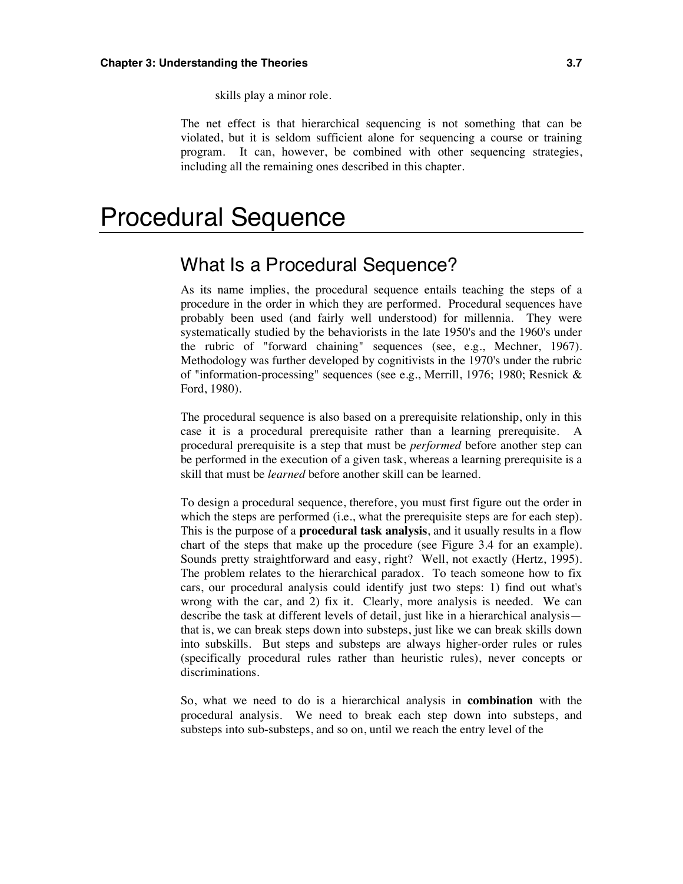skills play a minor role.

The net effect is that hierarchical sequencing is not something that can be violated, but it is seldom sufficient alone for sequencing a course or training program. It can, however, be combined with other sequencing strategies, including all the remaining ones described in this chapter.

## Procedural Sequence

### What Is a Procedural Sequence?

As its name implies, the procedural sequence entails teaching the steps of a procedure in the order in which they are performed. Procedural sequences have probably been used (and fairly well understood) for millennia. They were systematically studied by the behaviorists in the late 1950's and the 1960's under the rubric of "forward chaining" sequences (see, e.g., Mechner, 1967). Methodology was further developed by cognitivists in the 1970's under the rubric of "information-processing" sequences (see e.g., Merrill, 1976; 1980; Resnick & Ford, 1980).

The procedural sequence is also based on a prerequisite relationship, only in this case it is a procedural prerequisite rather than a learning prerequisite. A procedural prerequisite is a step that must be *performed* before another step can be performed in the execution of a given task, whereas a learning prerequisite is a skill that must be *learned* before another skill can be learned.

To design a procedural sequence, therefore, you must first figure out the order in which the steps are performed (i.e., what the prerequisite steps are for each step). This is the purpose of a **procedural task analysis**, and it usually results in a flow chart of the steps that make up the procedure (see Figure 3.4 for an example). Sounds pretty straightforward and easy, right? Well, not exactly (Hertz, 1995). The problem relates to the hierarchical paradox. To teach someone how to fix cars, our procedural analysis could identify just two steps: 1) find out what's wrong with the car, and 2) fix it. Clearly, more analysis is needed. We can describe the task at different levels of detail, just like in a hierarchical analysis that is, we can break steps down into substeps, just like we can break skills down into subskills. But steps and substeps are always higher-order rules or rules (specifically procedural rules rather than heuristic rules), never concepts or discriminations.

So, what we need to do is a hierarchical analysis in **combination** with the procedural analysis. We need to break each step down into substeps, and substeps into sub-substeps, and so on, until we reach the entry level of the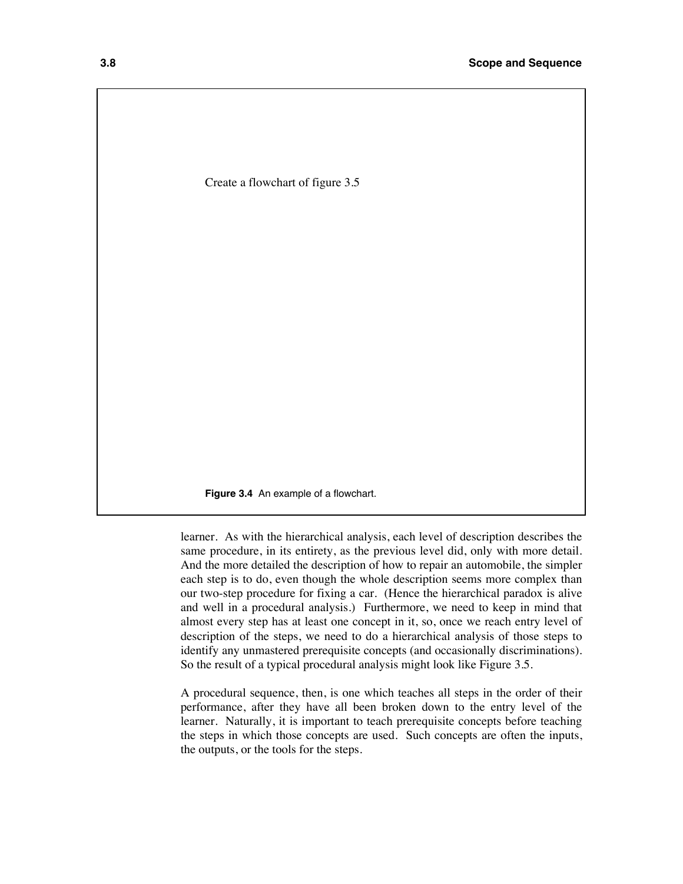Create a flowchart of figure 3.5

**Figure 3.4** An example of a flowchart.

learner. As with the hierarchical analysis, each level of description describes the same procedure, in its entirety, as the previous level did, only with more detail. And the more detailed the description of how to repair an automobile, the simpler each step is to do, even though the whole description seems more complex than our two-step procedure for fixing a car. (Hence the hierarchical paradox is alive and well in a procedural analysis.) Furthermore, we need to keep in mind that almost every step has at least one concept in it, so, once we reach entry level of description of the steps, we need to do a hierarchical analysis of those steps to identify any unmastered prerequisite concepts (and occasionally discriminations). So the result of a typical procedural analysis might look like Figure 3.5.

A procedural sequence, then, is one which teaches all steps in the order of their performance, after they have all been broken down to the entry level of the learner. Naturally, it is important to teach prerequisite concepts before teaching the steps in which those concepts are used. Such concepts are often the inputs, the outputs, or the tools for the steps.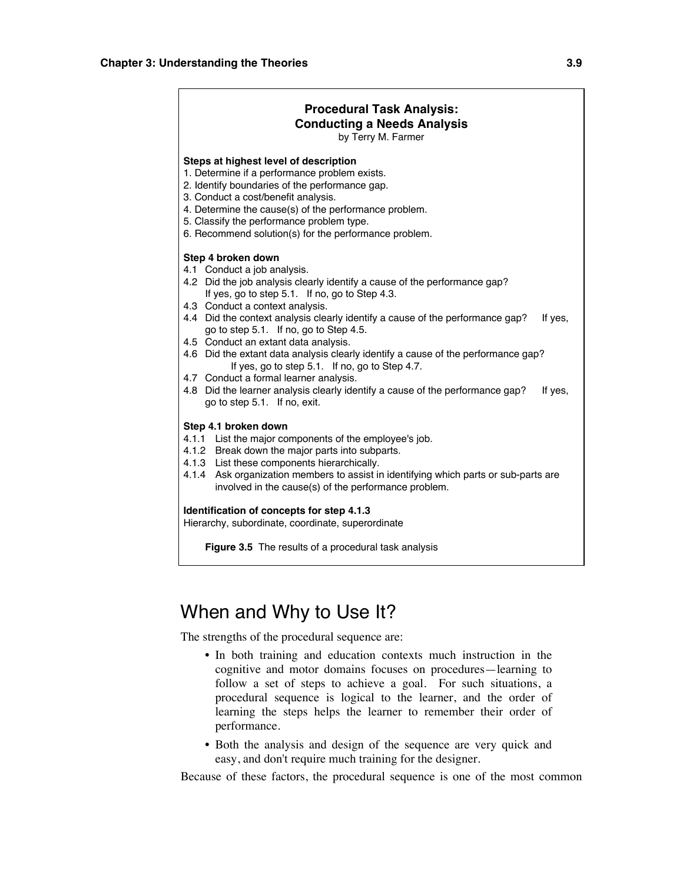

### When and Why to Use It?

The strengths of the procedural sequence are:

- In both training and education contexts much instruction in the cognitive and motor domains focuses on procedures—learning to follow a set of steps to achieve a goal. For such situations, a procedural sequence is logical to the learner, and the order of learning the steps helps the learner to remember their order of performance.
- Both the analysis and design of the sequence are very quick and easy, and don't require much training for the designer.

Because of these factors, the procedural sequence is one of the most common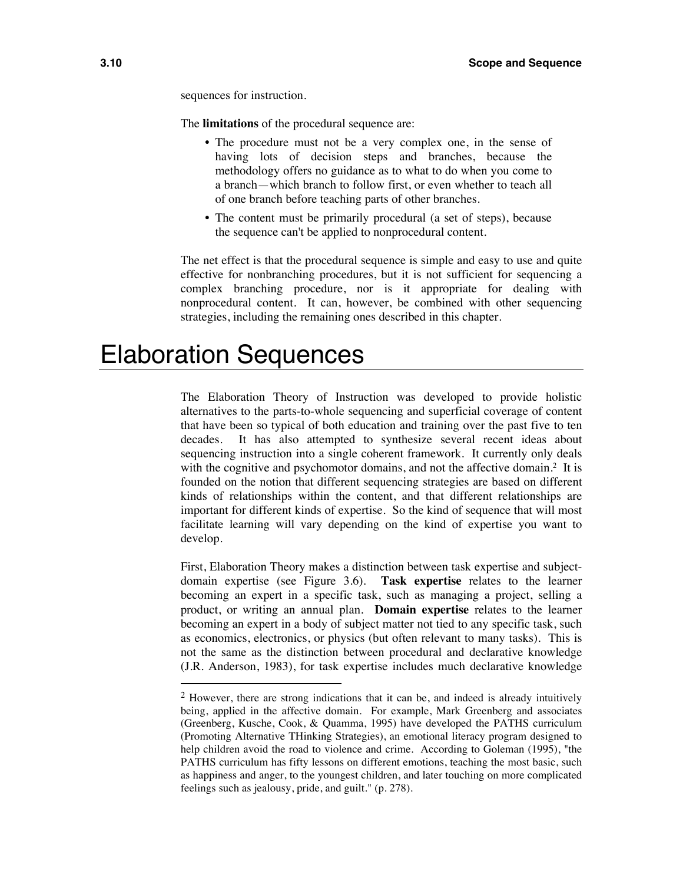sequences for instruction.

The **limitations** of the procedural sequence are:

- The procedure must not be a very complex one, in the sense of having lots of decision steps and branches, because the methodology offers no guidance as to what to do when you come to a branch—which branch to follow first, or even whether to teach all of one branch before teaching parts of other branches.
- The content must be primarily procedural (a set of steps), because the sequence can't be applied to nonprocedural content.

The net effect is that the procedural sequence is simple and easy to use and quite effective for nonbranching procedures, but it is not sufficient for sequencing a complex branching procedure, nor is it appropriate for dealing with nonprocedural content. It can, however, be combined with other sequencing strategies, including the remaining ones described in this chapter.

## Elaboration Sequences

The Elaboration Theory of Instruction was developed to provide holistic alternatives to the parts-to-whole sequencing and superficial coverage of content that have been so typical of both education and training over the past five to ten decades. It has also attempted to synthesize several recent ideas about sequencing instruction into a single coherent framework. It currently only deals with the cognitive and psychomotor domains, and not the affective domain.<sup>2</sup> It is founded on the notion that different sequencing strategies are based on different kinds of relationships within the content, and that different relationships are important for different kinds of expertise. So the kind of sequence that will most facilitate learning will vary depending on the kind of expertise you want to develop.

First, Elaboration Theory makes a distinction between task expertise and subjectdomain expertise (see Figure 3.6). **Task expertise** relates to the learner becoming an expert in a specific task, such as managing a project, selling a product, or writing an annual plan. **Domain expertise** relates to the learner becoming an expert in a body of subject matter not tied to any specific task, such as economics, electronics, or physics (but often relevant to many tasks). This is not the same as the distinction between procedural and declarative knowledge (J.R. Anderson, 1983), for task expertise includes much declarative knowledge

 <sup>2</sup> However, there are strong indications that it can be, and indeed is already intuitively being, applied in the affective domain. For example, Mark Greenberg and associates (Greenberg, Kusche, Cook, & Quamma, 1995) have developed the PATHS curriculum (Promoting Alternative THinking Strategies), an emotional literacy program designed to help children avoid the road to violence and crime. According to Goleman (1995), "the PATHS curriculum has fifty lessons on different emotions, teaching the most basic, such as happiness and anger, to the youngest children, and later touching on more complicated feelings such as jealousy, pride, and guilt." (p. 278).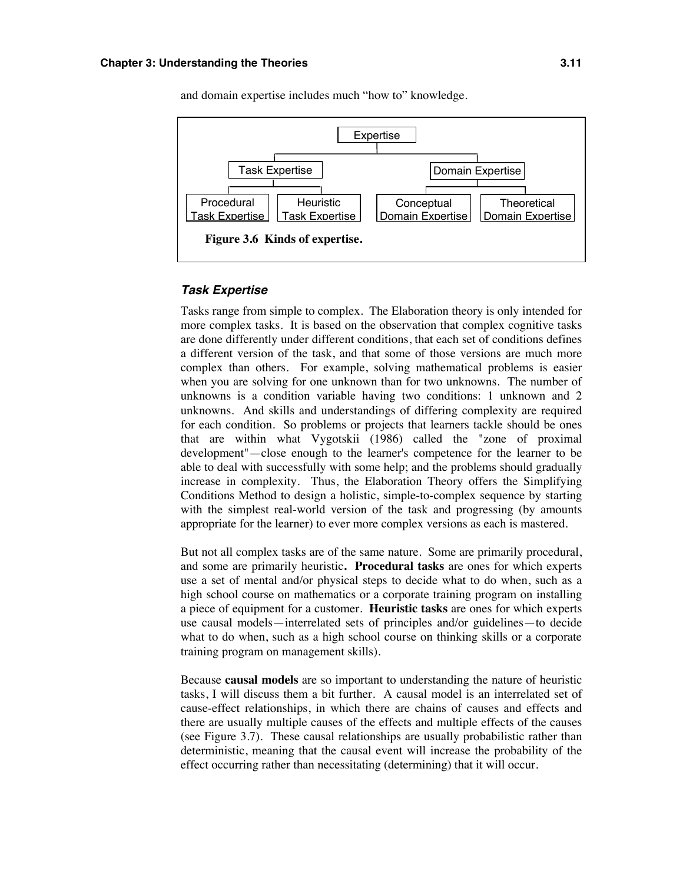

and domain expertise includes much "how to" knowledge.

#### *Task Expertise*

Tasks range from simple to complex. The Elaboration theory is only intended for more complex tasks. It is based on the observation that complex cognitive tasks are done differently under different conditions, that each set of conditions defines a different version of the task, and that some of those versions are much more complex than others. For example, solving mathematical problems is easier when you are solving for one unknown than for two unknowns. The number of unknowns is a condition variable having two conditions: 1 unknown and 2 unknowns. And skills and understandings of differing complexity are required for each condition. So problems or projects that learners tackle should be ones that are within what Vygotskii (1986) called the "zone of proximal development"—close enough to the learner's competence for the learner to be able to deal with successfully with some help; and the problems should gradually increase in complexity. Thus, the Elaboration Theory offers the Simplifying Conditions Method to design a holistic, simple-to-complex sequence by starting with the simplest real-world version of the task and progressing (by amounts appropriate for the learner) to ever more complex versions as each is mastered.

But not all complex tasks are of the same nature. Some are primarily procedural, and some are primarily heuristic**. Procedural tasks** are ones for which experts use a set of mental and/or physical steps to decide what to do when, such as a high school course on mathematics or a corporate training program on installing a piece of equipment for a customer. **Heuristic tasks** are ones for which experts use causal models—interrelated sets of principles and/or guidelines—to decide what to do when, such as a high school course on thinking skills or a corporate training program on management skills).

Because **causal models** are so important to understanding the nature of heuristic tasks, I will discuss them a bit further. A causal model is an interrelated set of cause-effect relationships, in which there are chains of causes and effects and there are usually multiple causes of the effects and multiple effects of the causes (see Figure 3.7). These causal relationships are usually probabilistic rather than deterministic, meaning that the causal event will increase the probability of the effect occurring rather than necessitating (determining) that it will occur.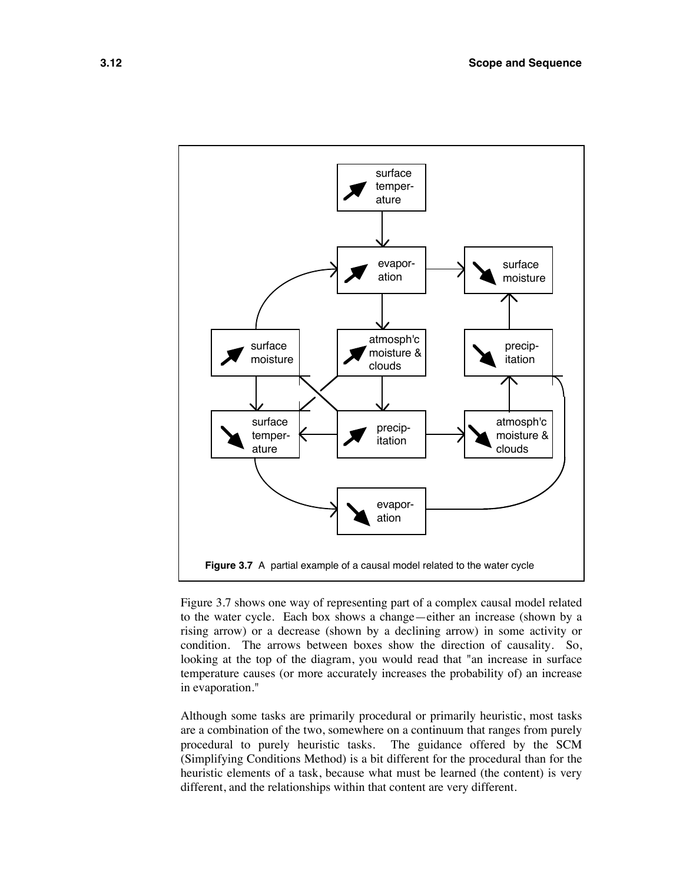

Figure 3.7 shows one way of representing part of a complex causal model related to the water cycle. Each box shows a change—either an increase (shown by a rising arrow) or a decrease (shown by a declining arrow) in some activity or condition. The arrows between boxes show the direction of causality. So, looking at the top of the diagram, you would read that "an increase in surface temperature causes (or more accurately increases the probability of) an increase in evaporation."

Although some tasks are primarily procedural or primarily heuristic, most tasks are a combination of the two, somewhere on a continuum that ranges from purely procedural to purely heuristic tasks. The guidance offered by the SCM (Simplifying Conditions Method) is a bit different for the procedural than for the heuristic elements of a task, because what must be learned (the content) is very different, and the relationships within that content are very different.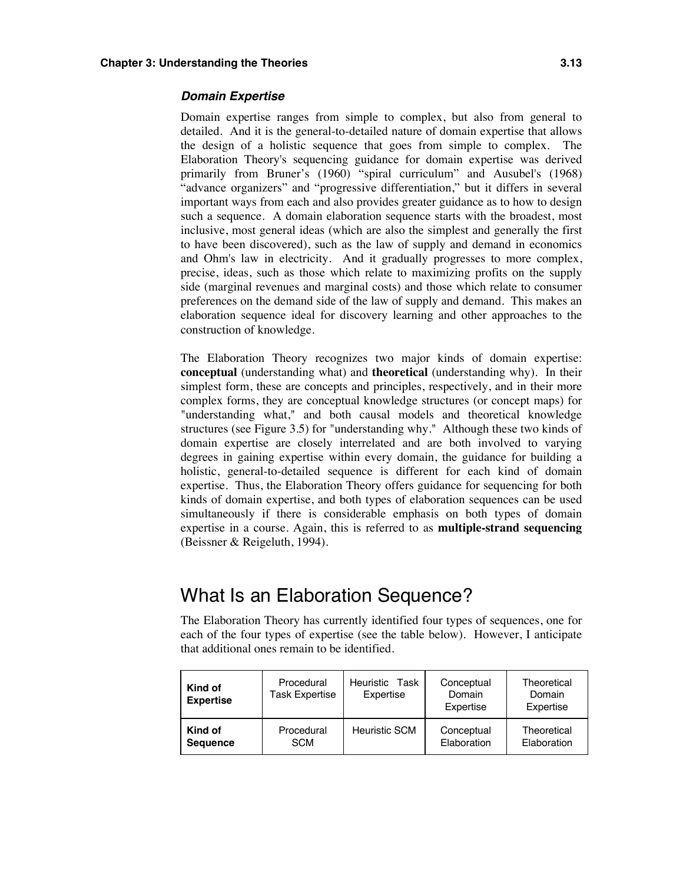#### *Domain Expertise*

Domain expertise ranges from simple to complex, but also from general to detailed. And it is the general-to-detailed nature of domain expertise that allows the design of a holistic sequence that goes from simple to complex. The Elaboration Theory's sequencing guidance for domain expertise was derived primarily from Bruner's (1960) "spiral curriculum" and Ausubel's (1968) "advance organizers" and "progressive differentiation," but it differs in several important ways from each and also provides greater guidance as to how to design such a sequence. A domain elaboration sequence starts with the broadest, most inclusive, most general ideas (which are also the simplest and generally the first to have been discovered), such as the law of supply and demand in economics and Ohm's law in electricity. And it gradually progresses to more complex, precise, ideas, such as those which relate to maximizing profits on the supply side (marginal revenues and marginal costs) and those which relate to consumer preferences on the demand side of the law of supply and demand. This makes an elaboration sequence ideal for discovery learning and other approaches to the construction of knowledge.

The Elaboration Theory recognizes two major kinds of domain expertise: **conceptual** (understanding what) and **theoretical** (understanding why). In their simplest form, these are concepts and principles, respectively, and in their more complex forms, they are conceptual knowledge structures (or concept maps) for "understanding what," and both causal models and theoretical knowledge structures (see Figure 3.5) for "understanding why." Although these two kinds of domain expertise are closely interrelated and are both involved to varying degrees in gaining expertise within every domain, the guidance for building a holistic, general-to-detailed sequence is different for each kind of domain expertise. Thus, the Elaboration Theory offers guidance for sequencing for both kinds of domain expertise, and both types of elaboration sequences can be used simultaneously if there is considerable emphasis on both types of domain expertise in a course. Again, this is referred to as **multiple-strand sequencing** (Beissner & Reigeluth, 1994).

### What Is an Elaboration Sequence?

The Elaboration Theory has currently identified four types of sequences, one for each of the four types of expertise (see the table below). However, I anticipate that additional ones remain to be identified.

| Kind of<br><b>Expertise</b> | Procedural<br><b>Task Expertise</b> | Heuristic<br>Task<br>Expertise | Conceptual<br>Domain<br>Expertise | Theoretical<br>Domain<br>Expertise |
|-----------------------------|-------------------------------------|--------------------------------|-----------------------------------|------------------------------------|
| Kind of                     | Procedural                          | <b>Heuristic SCM</b>           | Conceptual                        | Theoretical                        |
| <b>Sequence</b>             | <b>SCM</b>                          |                                | Elaboration                       | Elaboration                        |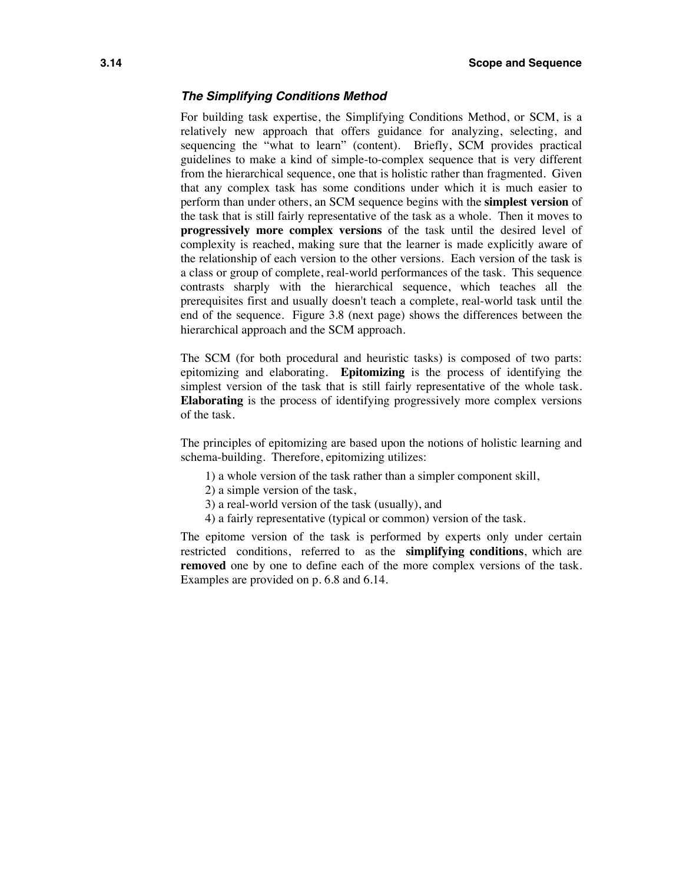#### *The Simplifying Conditions Method*

For building task expertise, the Simplifying Conditions Method, or SCM, is a relatively new approach that offers guidance for analyzing, selecting, and sequencing the "what to learn" (content). Briefly, SCM provides practical guidelines to make a kind of simple-to-complex sequence that is very different from the hierarchical sequence, one that is holistic rather than fragmented. Given that any complex task has some conditions under which it is much easier to perform than under others, an SCM sequence begins with the **simplest version** of the task that is still fairly representative of the task as a whole. Then it moves to **progressively more complex versions** of the task until the desired level of complexity is reached, making sure that the learner is made explicitly aware of the relationship of each version to the other versions. Each version of the task is a class or group of complete, real-world performances of the task. This sequence contrasts sharply with the hierarchical sequence, which teaches all the prerequisites first and usually doesn't teach a complete, real-world task until the end of the sequence. Figure 3.8 (next page) shows the differences between the hierarchical approach and the SCM approach.

The SCM (for both procedural and heuristic tasks) is composed of two parts: epitomizing and elaborating. **Epitomizing** is the process of identifying the simplest version of the task that is still fairly representative of the whole task. **Elaborating** is the process of identifying progressively more complex versions of the task.

The principles of epitomizing are based upon the notions of holistic learning and schema-building. Therefore, epitomizing utilizes:

- 1) a whole version of the task rather than a simpler component skill,
- 2) a simple version of the task,
- 3) a real-world version of the task (usually), and
- 4) a fairly representative (typical or common) version of the task.

The epitome version of the task is performed by experts only under certain restricted conditions, referred to as the **simplifying conditions**, which are **removed** one by one to define each of the more complex versions of the task. Examples are provided on p. 6.8 and 6.14.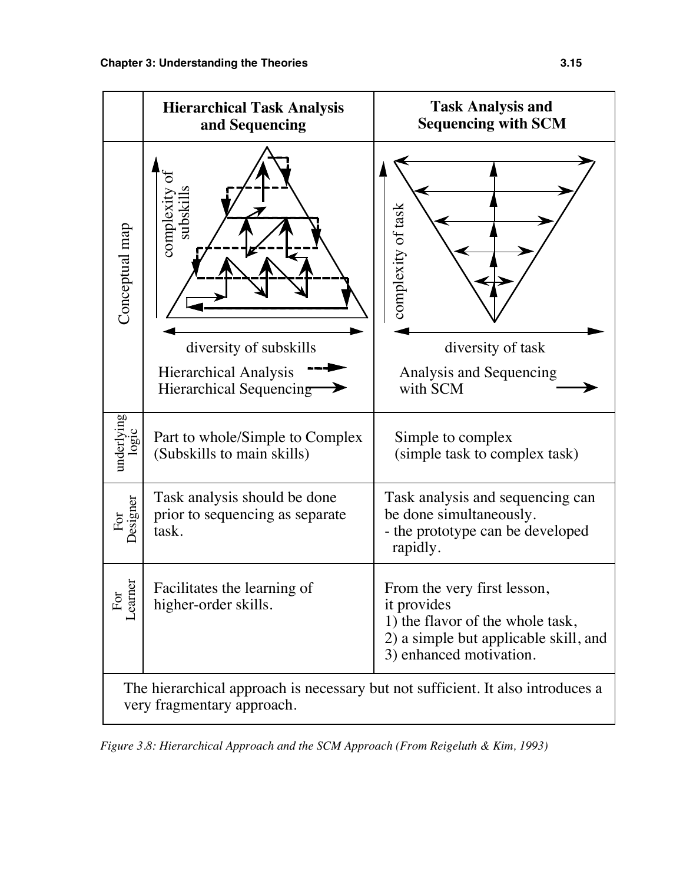

*Figure 3.8: Hierarchical Approach and the SCM Approach (From Reigeluth & Kim, 1993)*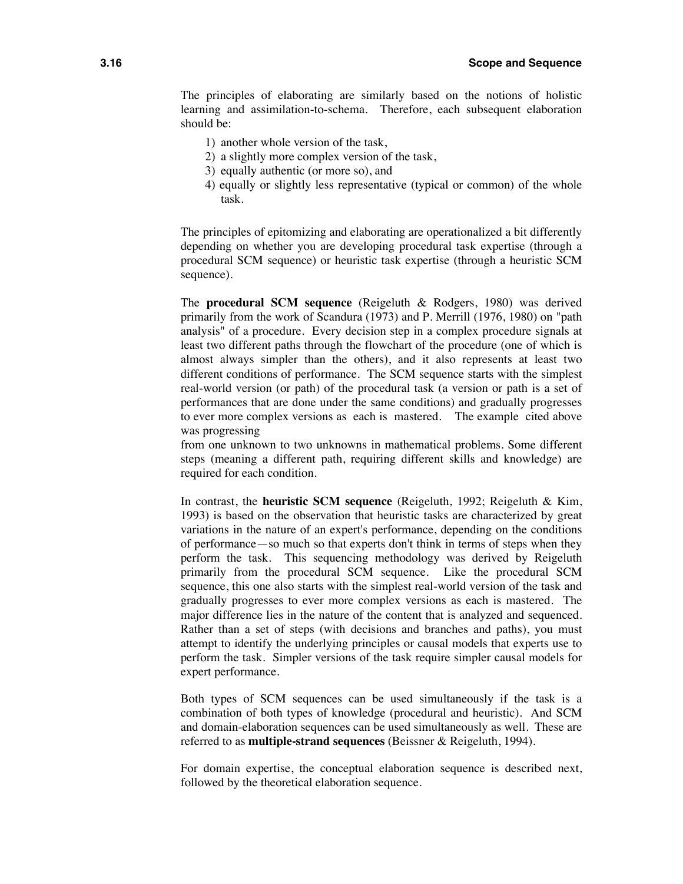The principles of elaborating are similarly based on the notions of holistic learning and assimilation-to-schema. Therefore, each subsequent elaboration should be:

- 1) another whole version of the task,
- 2) a slightly more complex version of the task,
- 3) equally authentic (or more so), and
- 4) equally or slightly less representative (typical or common) of the whole task.

The principles of epitomizing and elaborating are operationalized a bit differently depending on whether you are developing procedural task expertise (through a procedural SCM sequence) or heuristic task expertise (through a heuristic SCM sequence).

The **procedural SCM sequence** (Reigeluth & Rodgers, 1980) was derived primarily from the work of Scandura (1973) and P. Merrill (1976, 1980) on "path analysis" of a procedure. Every decision step in a complex procedure signals at least two different paths through the flowchart of the procedure (one of which is almost always simpler than the others), and it also represents at least two different conditions of performance. The SCM sequence starts with the simplest real-world version (or path) of the procedural task (a version or path is a set of performances that are done under the same conditions) and gradually progresses to ever more complex versions as each is mastered. The example cited above was progressing

from one unknown to two unknowns in mathematical problems. Some different steps (meaning a different path, requiring different skills and knowledge) are required for each condition.

In contrast, the **heuristic SCM sequence** (Reigeluth, 1992; Reigeluth & Kim, 1993) is based on the observation that heuristic tasks are characterized by great variations in the nature of an expert's performance, depending on the conditions of performance—so much so that experts don't think in terms of steps when they perform the task. This sequencing methodology was derived by Reigeluth primarily from the procedural SCM sequence. Like the procedural SCM sequence, this one also starts with the simplest real-world version of the task and gradually progresses to ever more complex versions as each is mastered. The major difference lies in the nature of the content that is analyzed and sequenced. Rather than a set of steps (with decisions and branches and paths), you must attempt to identify the underlying principles or causal models that experts use to perform the task. Simpler versions of the task require simpler causal models for expert performance.

Both types of SCM sequences can be used simultaneously if the task is a combination of both types of knowledge (procedural and heuristic). And SCM and domain-elaboration sequences can be used simultaneously as well. These are referred to as **multiple-strand sequences** (Beissner & Reigeluth, 1994).

For domain expertise, the conceptual elaboration sequence is described next, followed by the theoretical elaboration sequence.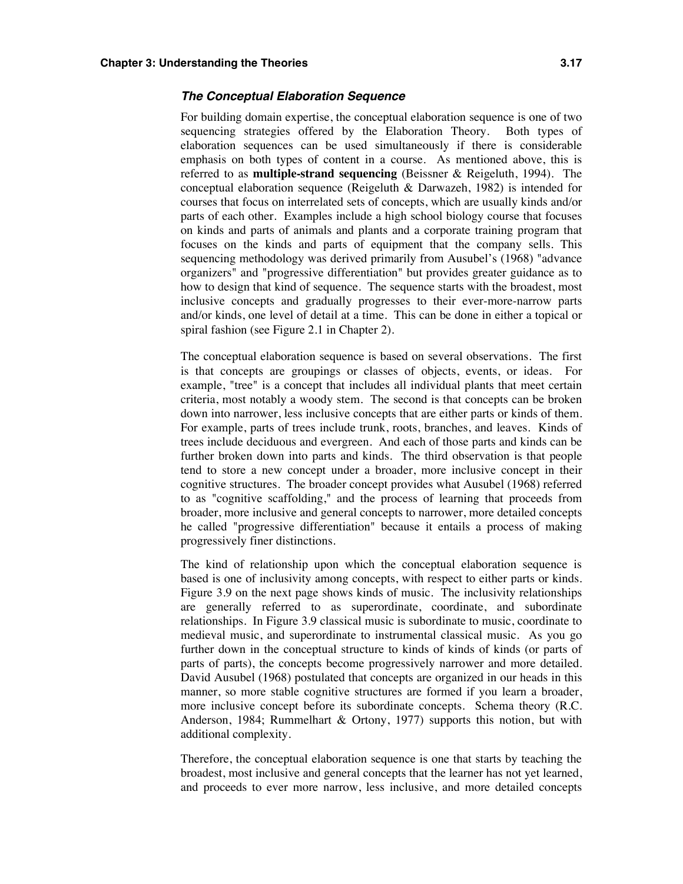#### *The Conceptual Elaboration Sequence*

For building domain expertise, the conceptual elaboration sequence is one of two sequencing strategies offered by the Elaboration Theory. Both types of elaboration sequences can be used simultaneously if there is considerable emphasis on both types of content in a course. As mentioned above, this is referred to as **multiple-strand sequencing** (Beissner & Reigeluth, 1994). The conceptual elaboration sequence (Reigeluth & Darwazeh, 1982) is intended for courses that focus on interrelated sets of concepts, which are usually kinds and/or parts of each other. Examples include a high school biology course that focuses on kinds and parts of animals and plants and a corporate training program that focuses on the kinds and parts of equipment that the company sells. This sequencing methodology was derived primarily from Ausubel's (1968) "advance organizers" and "progressive differentiation" but provides greater guidance as to how to design that kind of sequence. The sequence starts with the broadest, most inclusive concepts and gradually progresses to their ever-more-narrow parts and/or kinds, one level of detail at a time. This can be done in either a topical or spiral fashion (see Figure 2.1 in Chapter 2).

The conceptual elaboration sequence is based on several observations. The first is that concepts are groupings or classes of objects, events, or ideas. For example, "tree" is a concept that includes all individual plants that meet certain criteria, most notably a woody stem. The second is that concepts can be broken down into narrower, less inclusive concepts that are either parts or kinds of them. For example, parts of trees include trunk, roots, branches, and leaves. Kinds of trees include deciduous and evergreen. And each of those parts and kinds can be further broken down into parts and kinds. The third observation is that people tend to store a new concept under a broader, more inclusive concept in their cognitive structures. The broader concept provides what Ausubel (1968) referred to as "cognitive scaffolding," and the process of learning that proceeds from broader, more inclusive and general concepts to narrower, more detailed concepts he called "progressive differentiation" because it entails a process of making progressively finer distinctions.

The kind of relationship upon which the conceptual elaboration sequence is based is one of inclusivity among concepts, with respect to either parts or kinds. Figure 3.9 on the next page shows kinds of music. The inclusivity relationships are generally referred to as superordinate, coordinate, and subordinate relationships. In Figure 3.9 classical music is subordinate to music, coordinate to medieval music, and superordinate to instrumental classical music. As you go further down in the conceptual structure to kinds of kinds of kinds (or parts of parts of parts), the concepts become progressively narrower and more detailed. David Ausubel (1968) postulated that concepts are organized in our heads in this manner, so more stable cognitive structures are formed if you learn a broader, more inclusive concept before its subordinate concepts. Schema theory (R.C. Anderson, 1984; Rummelhart & Ortony, 1977) supports this notion, but with additional complexity.

Therefore, the conceptual elaboration sequence is one that starts by teaching the broadest, most inclusive and general concepts that the learner has not yet learned, and proceeds to ever more narrow, less inclusive, and more detailed concepts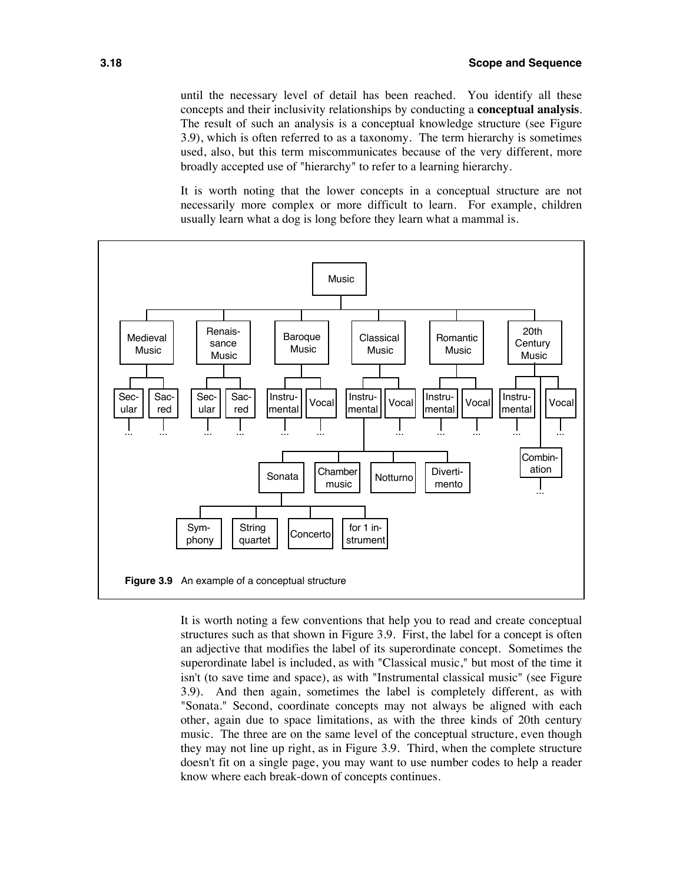until the necessary level of detail has been reached. You identify all these concepts and their inclusivity relationships by conducting a **conceptual analysis**. The result of such an analysis is a conceptual knowledge structure (see Figure 3.9), which is often referred to as a taxonomy. The term hierarchy is sometimes used, also, but this term miscommunicates because of the very different, more broadly accepted use of "hierarchy" to refer to a learning hierarchy.

It is worth noting that the lower concepts in a conceptual structure are not necessarily more complex or more difficult to learn. For example, children usually learn what a dog is long before they learn what a mammal is.



It is worth noting a few conventions that help you to read and create conceptual structures such as that shown in Figure 3.9. First, the label for a concept is often an adjective that modifies the label of its superordinate concept. Sometimes the superordinate label is included, as with "Classical music," but most of the time it isn't (to save time and space), as with "Instrumental classical music" (see Figure 3.9). And then again, sometimes the label is completely different, as with "Sonata." Second, coordinate concepts may not always be aligned with each other, again due to space limitations, as with the three kinds of 20th century music. The three are on the same level of the conceptual structure, even though they may not line up right, as in Figure 3.9. Third, when the complete structure doesn't fit on a single page, you may want to use number codes to help a reader know where each break-down of concepts continues.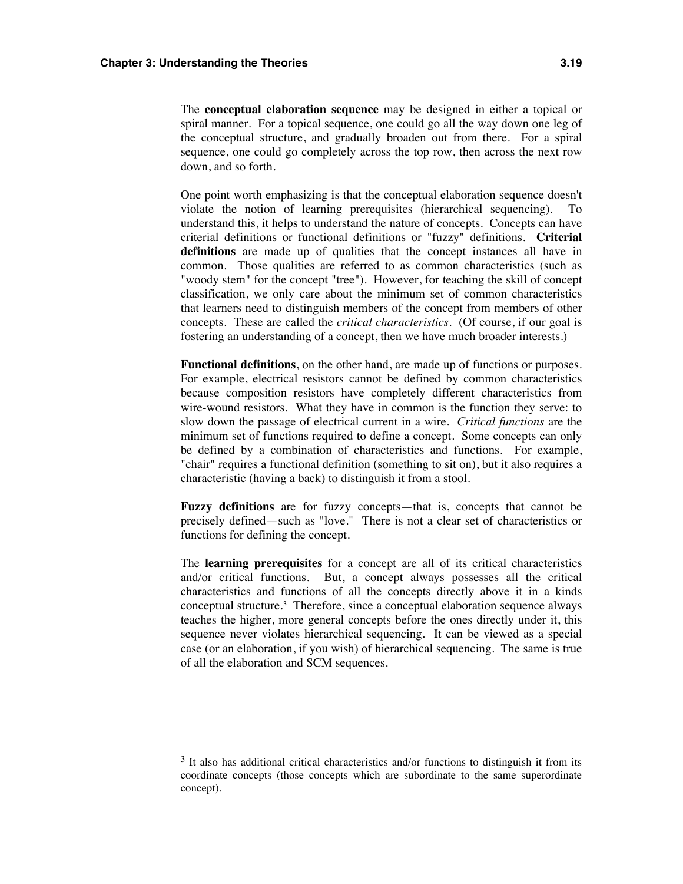The **conceptual elaboration sequence** may be designed in either a topical or spiral manner. For a topical sequence, one could go all the way down one leg of the conceptual structure, and gradually broaden out from there. For a spiral sequence, one could go completely across the top row, then across the next row down, and so forth.

One point worth emphasizing is that the conceptual elaboration sequence doesn't violate the notion of learning prerequisites (hierarchical sequencing). To understand this, it helps to understand the nature of concepts. Concepts can have criterial definitions or functional definitions or "fuzzy" definitions. **Criterial definitions** are made up of qualities that the concept instances all have in common. Those qualities are referred to as common characteristics (such as "woody stem" for the concept "tree"). However, for teaching the skill of concept classification, we only care about the minimum set of common characteristics that learners need to distinguish members of the concept from members of other concepts. These are called the *critical characteristics*. (Of course, if our goal is fostering an understanding of a concept, then we have much broader interests.)

**Functional definitions**, on the other hand, are made up of functions or purposes. For example, electrical resistors cannot be defined by common characteristics because composition resistors have completely different characteristics from wire-wound resistors. What they have in common is the function they serve: to slow down the passage of electrical current in a wire. *Critical functions* are the minimum set of functions required to define a concept. Some concepts can only be defined by a combination of characteristics and functions. For example, "chair" requires a functional definition (something to sit on), but it also requires a characteristic (having a back) to distinguish it from a stool.

**Fuzzy definitions** are for fuzzy concepts—that is, concepts that cannot be precisely defined—such as "love." There is not a clear set of characteristics or functions for defining the concept.

The **learning prerequisites** for a concept are all of its critical characteristics and/or critical functions. But, a concept always possesses all the critical characteristics and functions of all the concepts directly above it in a kinds conceptual structure.3 Therefore, since a conceptual elaboration sequence always teaches the higher, more general concepts before the ones directly under it, this sequence never violates hierarchical sequencing. It can be viewed as a special case (or an elaboration, if you wish) of hierarchical sequencing. The same is true of all the elaboration and SCM sequences.

 $3$  It also has additional critical characteristics and/or functions to distinguish it from its coordinate concepts (those concepts which are subordinate to the same superordinate concept).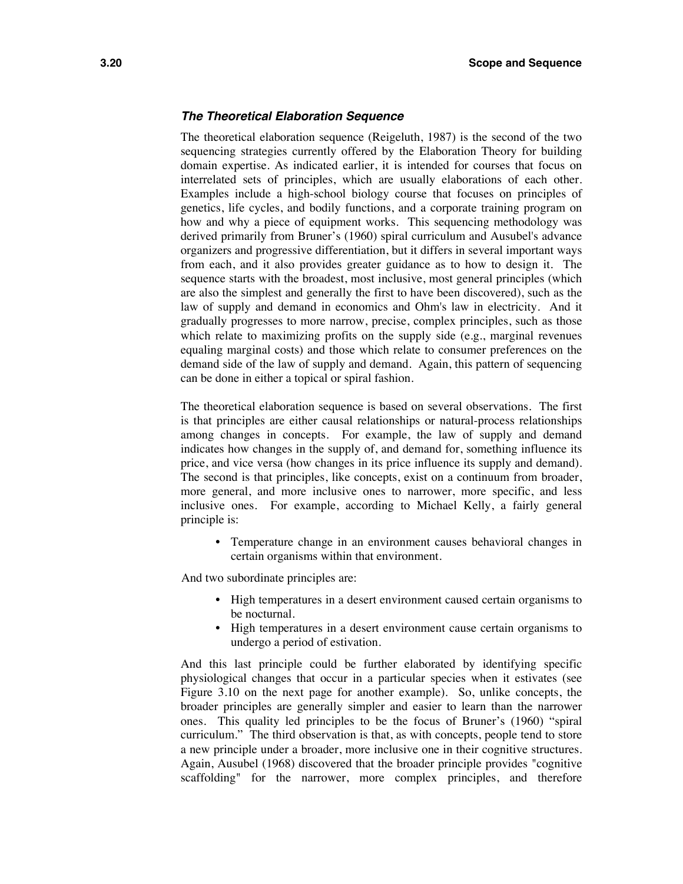#### *The Theoretical Elaboration Sequence*

The theoretical elaboration sequence (Reigeluth, 1987) is the second of the two sequencing strategies currently offered by the Elaboration Theory for building domain expertise. As indicated earlier, it is intended for courses that focus on interrelated sets of principles, which are usually elaborations of each other. Examples include a high-school biology course that focuses on principles of genetics, life cycles, and bodily functions, and a corporate training program on how and why a piece of equipment works. This sequencing methodology was derived primarily from Bruner's (1960) spiral curriculum and Ausubel's advance organizers and progressive differentiation, but it differs in several important ways from each, and it also provides greater guidance as to how to design it. The sequence starts with the broadest, most inclusive, most general principles (which are also the simplest and generally the first to have been discovered), such as the law of supply and demand in economics and Ohm's law in electricity. And it gradually progresses to more narrow, precise, complex principles, such as those which relate to maximizing profits on the supply side (e.g., marginal revenues equaling marginal costs) and those which relate to consumer preferences on the demand side of the law of supply and demand. Again, this pattern of sequencing can be done in either a topical or spiral fashion.

The theoretical elaboration sequence is based on several observations. The first is that principles are either causal relationships or natural-process relationships among changes in concepts. For example, the law of supply and demand indicates how changes in the supply of, and demand for, something influence its price, and vice versa (how changes in its price influence its supply and demand). The second is that principles, like concepts, exist on a continuum from broader, more general, and more inclusive ones to narrower, more specific, and less inclusive ones. For example, according to Michael Kelly, a fairly general principle is:

• Temperature change in an environment causes behavioral changes in certain organisms within that environment.

And two subordinate principles are:

- High temperatures in a desert environment caused certain organisms to be nocturnal.
- High temperatures in a desert environment cause certain organisms to undergo a period of estivation.

And this last principle could be further elaborated by identifying specific physiological changes that occur in a particular species when it estivates (see Figure 3.10 on the next page for another example). So, unlike concepts, the broader principles are generally simpler and easier to learn than the narrower ones. This quality led principles to be the focus of Bruner's (1960) "spiral curriculum." The third observation is that, as with concepts, people tend to store a new principle under a broader, more inclusive one in their cognitive structures. Again, Ausubel (1968) discovered that the broader principle provides "cognitive scaffolding" for the narrower, more complex principles, and therefore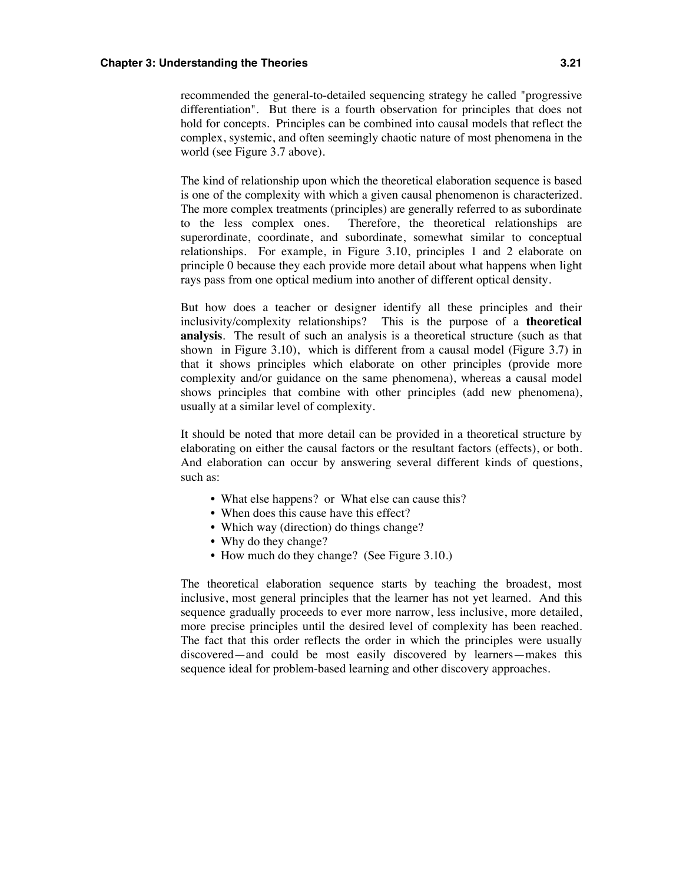#### **Chapter 3: Understanding the Theories 3.21**

recommended the general-to-detailed sequencing strategy he called "progressive differentiation". But there is a fourth observation for principles that does not hold for concepts. Principles can be combined into causal models that reflect the complex, systemic, and often seemingly chaotic nature of most phenomena in the world (see Figure 3.7 above).

The kind of relationship upon which the theoretical elaboration sequence is based is one of the complexity with which a given causal phenomenon is characterized. The more complex treatments (principles) are generally referred to as subordinate to the less complex ones. Therefore, the theoretical relationships are superordinate, coordinate, and subordinate, somewhat similar to conceptual relationships. For example, in Figure 3.10, principles 1 and 2 elaborate on principle 0 because they each provide more detail about what happens when light rays pass from one optical medium into another of different optical density.

But how does a teacher or designer identify all these principles and their inclusivity/complexity relationships? This is the purpose of a **theoretical analysis**. The result of such an analysis is a theoretical structure (such as that shown in Figure 3.10), which is different from a causal model (Figure 3.7) in that it shows principles which elaborate on other principles (provide more complexity and/or guidance on the same phenomena), whereas a causal model shows principles that combine with other principles (add new phenomena), usually at a similar level of complexity.

It should be noted that more detail can be provided in a theoretical structure by elaborating on either the causal factors or the resultant factors (effects), or both. And elaboration can occur by answering several different kinds of questions, such as:

- What else happens? or What else can cause this?
- When does this cause have this effect?
- Which way (direction) do things change?
- Why do they change?
- How much do they change? (See Figure 3.10.)

The theoretical elaboration sequence starts by teaching the broadest, most inclusive, most general principles that the learner has not yet learned. And this sequence gradually proceeds to ever more narrow, less inclusive, more detailed, more precise principles until the desired level of complexity has been reached. The fact that this order reflects the order in which the principles were usually discovered—and could be most easily discovered by learners—makes this sequence ideal for problem-based learning and other discovery approaches.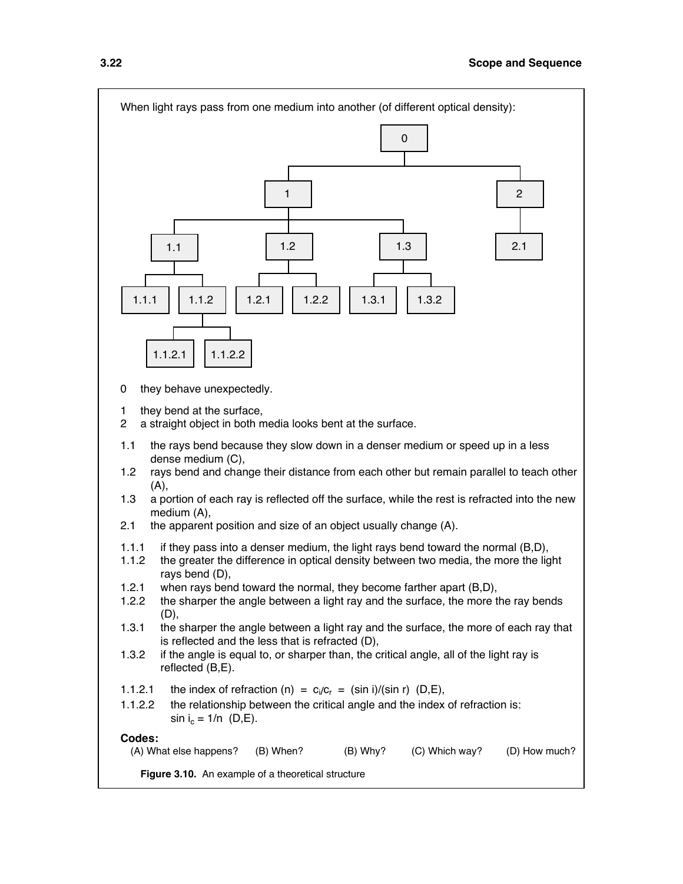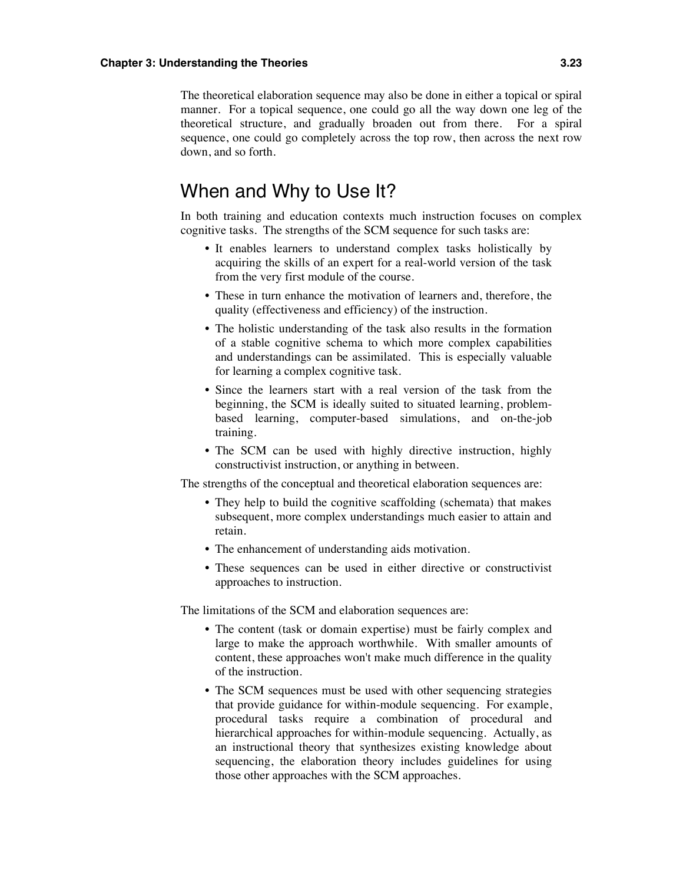The theoretical elaboration sequence may also be done in either a topical or spiral manner. For a topical sequence, one could go all the way down one leg of the theoretical structure, and gradually broaden out from there. For a spiral sequence, one could go completely across the top row, then across the next row down, and so forth.

## When and Why to Use It?

In both training and education contexts much instruction focuses on complex cognitive tasks. The strengths of the SCM sequence for such tasks are:

- It enables learners to understand complex tasks holistically by acquiring the skills of an expert for a real-world version of the task from the very first module of the course.
- These in turn enhance the motivation of learners and, therefore, the quality (effectiveness and efficiency) of the instruction.
- The holistic understanding of the task also results in the formation of a stable cognitive schema to which more complex capabilities and understandings can be assimilated. This is especially valuable for learning a complex cognitive task.
- Since the learners start with a real version of the task from the beginning, the SCM is ideally suited to situated learning, problembased learning, computer-based simulations, and on-the-job training.
- The SCM can be used with highly directive instruction, highly constructivist instruction, or anything in between.

The strengths of the conceptual and theoretical elaboration sequences are:

- They help to build the cognitive scaffolding (schemata) that makes subsequent, more complex understandings much easier to attain and retain.
- The enhancement of understanding aids motivation.
- These sequences can be used in either directive or constructivist approaches to instruction.

The limitations of the SCM and elaboration sequences are:

- The content (task or domain expertise) must be fairly complex and large to make the approach worthwhile. With smaller amounts of content, these approaches won't make much difference in the quality of the instruction.
- The SCM sequences must be used with other sequencing strategies that provide guidance for within-module sequencing. For example, procedural tasks require a combination of procedural and hierarchical approaches for within-module sequencing. Actually, as an instructional theory that synthesizes existing knowledge about sequencing, the elaboration theory includes guidelines for using those other approaches with the SCM approaches.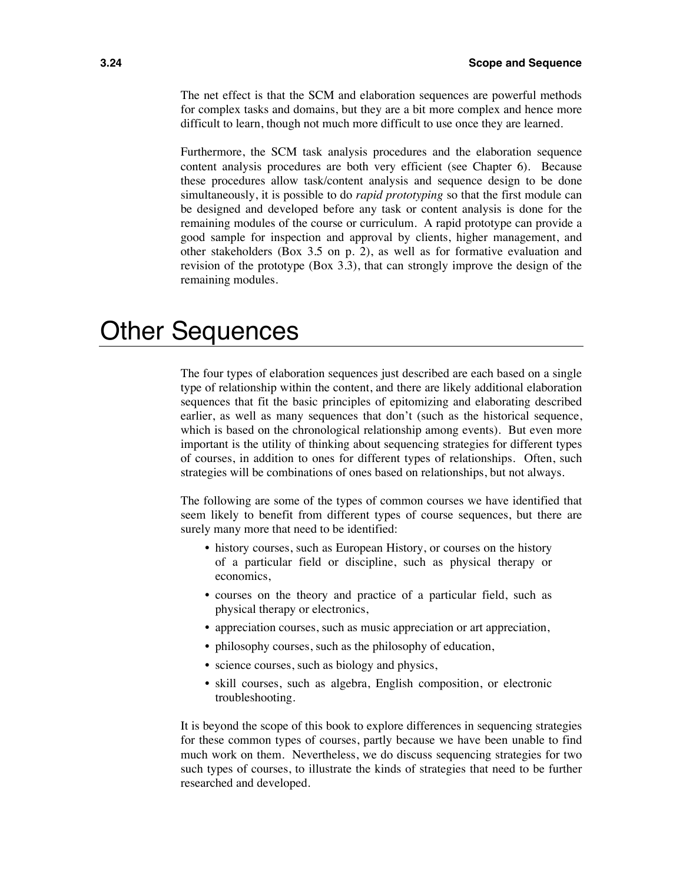The net effect is that the SCM and elaboration sequences are powerful methods for complex tasks and domains, but they are a bit more complex and hence more difficult to learn, though not much more difficult to use once they are learned.

Furthermore, the SCM task analysis procedures and the elaboration sequence content analysis procedures are both very efficient (see Chapter 6). Because these procedures allow task/content analysis and sequence design to be done simultaneously, it is possible to do *rapid prototyping* so that the first module can be designed and developed before any task or content analysis is done for the remaining modules of the course or curriculum. A rapid prototype can provide a good sample for inspection and approval by clients, higher management, and other stakeholders (Box 3.5 on p. 2), as well as for formative evaluation and revision of the prototype (Box 3.3), that can strongly improve the design of the remaining modules.

## Other Sequences

The four types of elaboration sequences just described are each based on a single type of relationship within the content, and there are likely additional elaboration sequences that fit the basic principles of epitomizing and elaborating described earlier, as well as many sequences that don't (such as the historical sequence, which is based on the chronological relationship among events). But even more important is the utility of thinking about sequencing strategies for different types of courses, in addition to ones for different types of relationships. Often, such strategies will be combinations of ones based on relationships, but not always.

The following are some of the types of common courses we have identified that seem likely to benefit from different types of course sequences, but there are surely many more that need to be identified:

- history courses, such as European History, or courses on the history of a particular field or discipline, such as physical therapy or economics,
- courses on the theory and practice of a particular field, such as physical therapy or electronics,
- appreciation courses, such as music appreciation or art appreciation,
- philosophy courses, such as the philosophy of education,
- science courses, such as biology and physics,
- skill courses, such as algebra, English composition, or electronic troubleshooting.

It is beyond the scope of this book to explore differences in sequencing strategies for these common types of courses, partly because we have been unable to find much work on them. Nevertheless, we do discuss sequencing strategies for two such types of courses, to illustrate the kinds of strategies that need to be further researched and developed.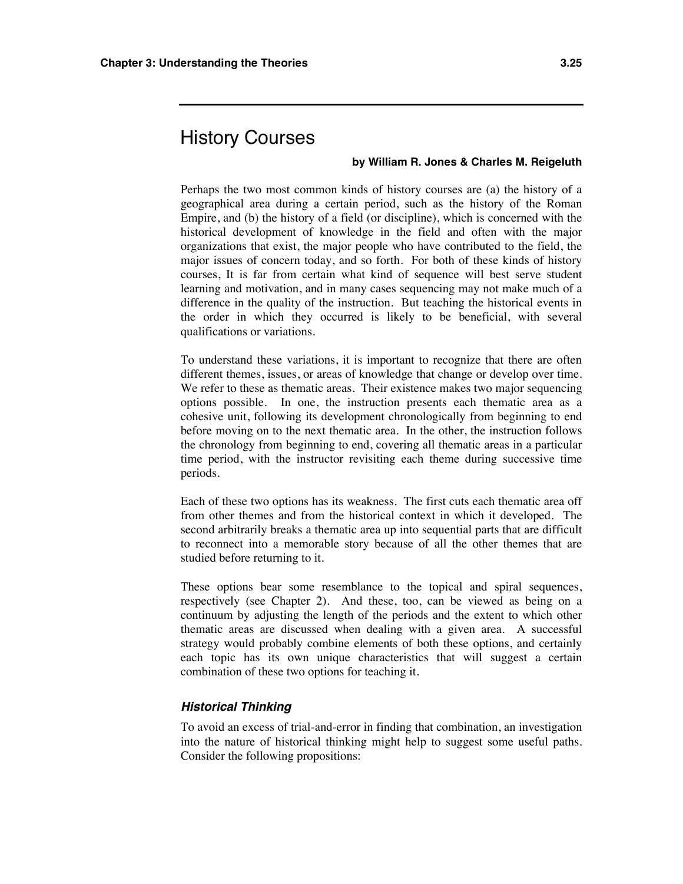### History Courses

#### **by William R. Jones & Charles M. Reigeluth**

Perhaps the two most common kinds of history courses are (a) the history of a geographical area during a certain period, such as the history of the Roman Empire, and (b) the history of a field (or discipline), which is concerned with the historical development of knowledge in the field and often with the major organizations that exist, the major people who have contributed to the field, the major issues of concern today, and so forth. For both of these kinds of history courses, It is far from certain what kind of sequence will best serve student learning and motivation, and in many cases sequencing may not make much of a difference in the quality of the instruction. But teaching the historical events in the order in which they occurred is likely to be beneficial, with several qualifications or variations.

To understand these variations, it is important to recognize that there are often different themes, issues, or areas of knowledge that change or develop over time. We refer to these as thematic areas. Their existence makes two major sequencing options possible. In one, the instruction presents each thematic area as a cohesive unit, following its development chronologically from beginning to end before moving on to the next thematic area. In the other, the instruction follows the chronology from beginning to end, covering all thematic areas in a particular time period, with the instructor revisiting each theme during successive time periods.

Each of these two options has its weakness. The first cuts each thematic area off from other themes and from the historical context in which it developed. The second arbitrarily breaks a thematic area up into sequential parts that are difficult to reconnect into a memorable story because of all the other themes that are studied before returning to it.

These options bear some resemblance to the topical and spiral sequences, respectively (see Chapter 2). And these, too, can be viewed as being on a continuum by adjusting the length of the periods and the extent to which other thematic areas are discussed when dealing with a given area. A successful strategy would probably combine elements of both these options, and certainly each topic has its own unique characteristics that will suggest a certain combination of these two options for teaching it.

#### *Historical Thinking*

To avoid an excess of trial-and-error in finding that combination, an investigation into the nature of historical thinking might help to suggest some useful paths. Consider the following propositions: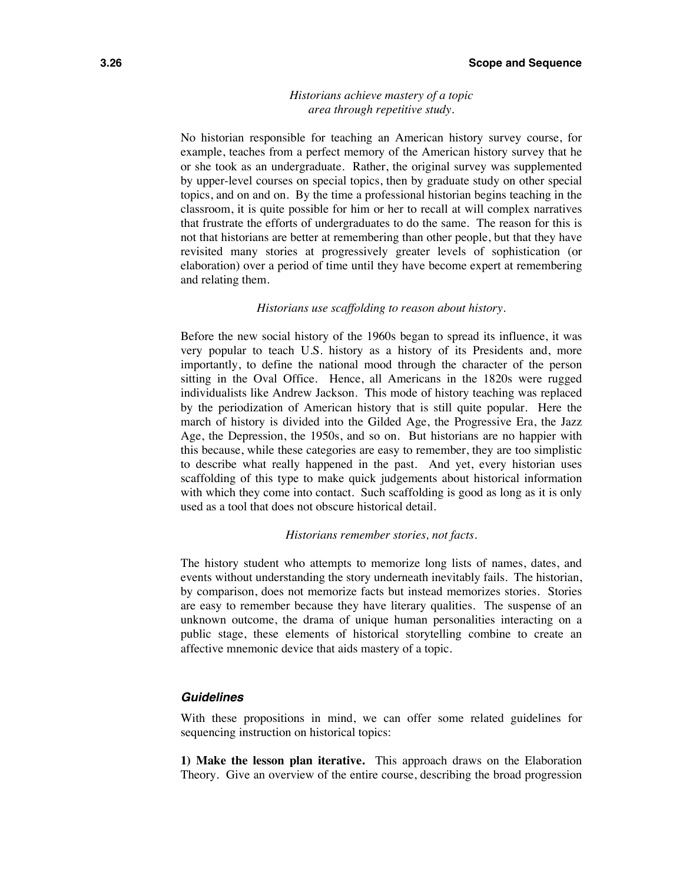#### *Historians achieve mastery of a topic area through repetitive study.*

No historian responsible for teaching an American history survey course, for example, teaches from a perfect memory of the American history survey that he or she took as an undergraduate. Rather, the original survey was supplemented by upper-level courses on special topics, then by graduate study on other special topics, and on and on. By the time a professional historian begins teaching in the classroom, it is quite possible for him or her to recall at will complex narratives that frustrate the efforts of undergraduates to do the same. The reason for this is not that historians are better at remembering than other people, but that they have revisited many stories at progressively greater levels of sophistication (or elaboration) over a period of time until they have become expert at remembering and relating them.

#### *Historians use scaffolding to reason about history.*

Before the new social history of the 1960s began to spread its influence, it was very popular to teach U.S. history as a history of its Presidents and, more importantly, to define the national mood through the character of the person sitting in the Oval Office. Hence, all Americans in the 1820s were rugged individualists like Andrew Jackson. This mode of history teaching was replaced by the periodization of American history that is still quite popular. Here the march of history is divided into the Gilded Age, the Progressive Era, the Jazz Age, the Depression, the 1950s, and so on. But historians are no happier with this because, while these categories are easy to remember, they are too simplistic to describe what really happened in the past. And yet, every historian uses scaffolding of this type to make quick judgements about historical information with which they come into contact. Such scaffolding is good as long as it is only used as a tool that does not obscure historical detail.

#### *Historians remember stories, not facts.*

The history student who attempts to memorize long lists of names, dates, and events without understanding the story underneath inevitably fails. The historian, by comparison, does not memorize facts but instead memorizes stories. Stories are easy to remember because they have literary qualities. The suspense of an unknown outcome, the drama of unique human personalities interacting on a public stage, these elements of historical storytelling combine to create an affective mnemonic device that aids mastery of a topic.

#### *Guidelines*

With these propositions in mind, we can offer some related guidelines for sequencing instruction on historical topics:

**1) Make the lesson plan iterative.**This approach draws on the Elaboration Theory. Give an overview of the entire course, describing the broad progression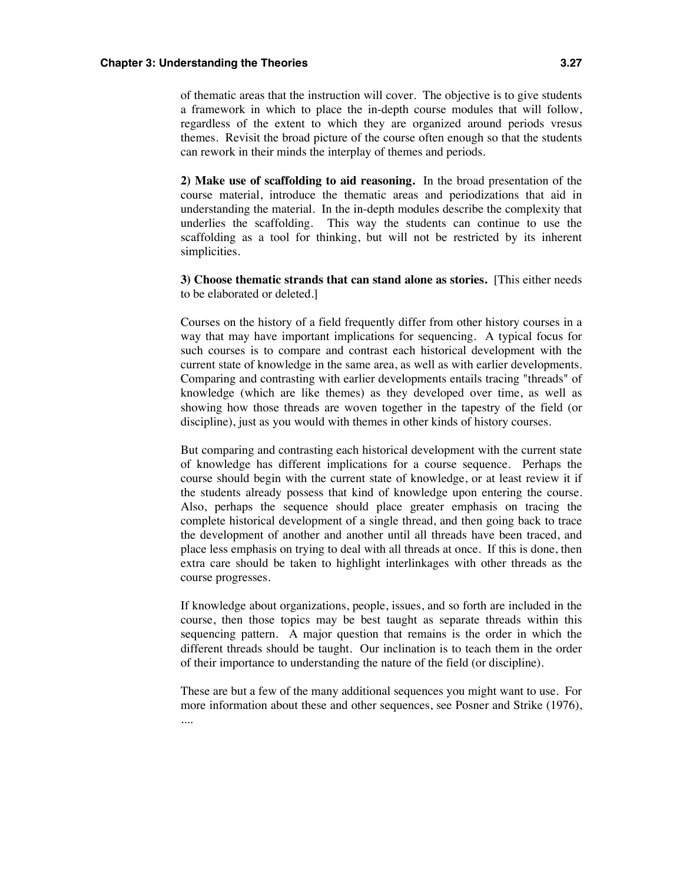#### **Chapter 3: Understanding the Theories 3.27**

of thematic areas that the instruction will cover. The objective is to give students a framework in which to place the in-depth course modules that will follow, regardless of the extent to which they are organized around periods vresus themes. Revisit the broad picture of the course often enough so that the students can rework in their minds the interplay of themes and periods.

**2) Make use of scaffolding to aid reasoning.** In the broad presentation of the course material, introduce the thematic areas and periodizations that aid in understanding the material. In the in-depth modules describe the complexity that underlies the scaffolding. This way the students can continue to use the scaffolding as a tool for thinking, but will not be restricted by its inherent simplicities.

**3) Choose thematic strands that can stand alone as stories.** [This either needs to be elaborated or deleted.]

Courses on the history of a field frequently differ from other history courses in a way that may have important implications for sequencing. A typical focus for such courses is to compare and contrast each historical development with the current state of knowledge in the same area, as well as with earlier developments. Comparing and contrasting with earlier developments entails tracing "threads" of knowledge (which are like themes) as they developed over time, as well as showing how those threads are woven together in the tapestry of the field (or discipline), just as you would with themes in other kinds of history courses.

But comparing and contrasting each historical development with the current state of knowledge has different implications for a course sequence. Perhaps the course should begin with the current state of knowledge, or at least review it if the students already possess that kind of knowledge upon entering the course. Also, perhaps the sequence should place greater emphasis on tracing the complete historical development of a single thread, and then going back to trace the development of another and another until all threads have been traced, and place less emphasis on trying to deal with all threads at once. If this is done, then extra care should be taken to highlight interlinkages with other threads as the course progresses.

If knowledge about organizations, people, issues, and so forth are included in the course, then those topics may be best taught as separate threads within this sequencing pattern. A major question that remains is the order in which the different threads should be taught. Our inclination is to teach them in the order of their importance to understanding the nature of the field (or discipline).

These are but a few of the many additional sequences you might want to use. For more information about these and other sequences, see Posner and Strike (1976), ....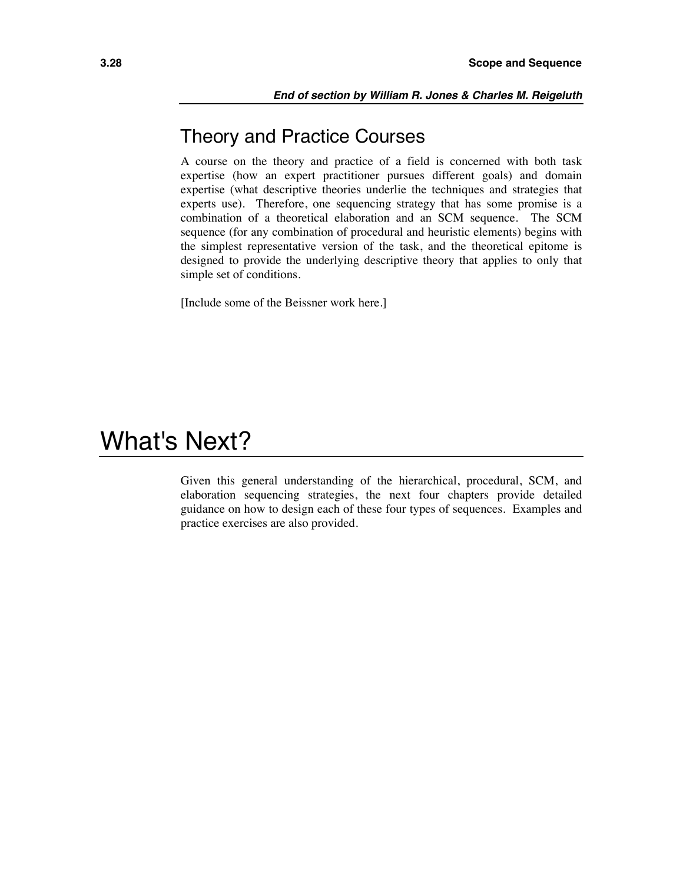### Theory and Practice Courses

A course on the theory and practice of a field is concerned with both task expertise (how an expert practitioner pursues different goals) and domain expertise (what descriptive theories underlie the techniques and strategies that experts use). Therefore, one sequencing strategy that has some promise is a combination of a theoretical elaboration and an SCM sequence. The SCM sequence (for any combination of procedural and heuristic elements) begins with the simplest representative version of the task, and the theoretical epitome is designed to provide the underlying descriptive theory that applies to only that simple set of conditions.

[Include some of the Beissner work here.]

## What's Next?

Given this general understanding of the hierarchical, procedural, SCM, and elaboration sequencing strategies, the next four chapters provide detailed guidance on how to design each of these four types of sequences. Examples and practice exercises are also provided.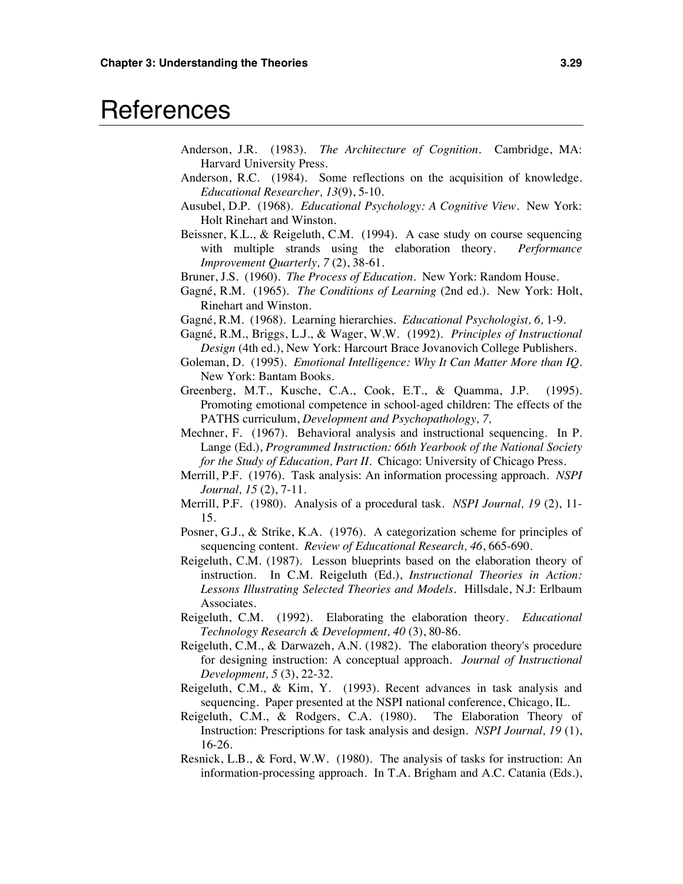## **References**

- Anderson, J.R. (1983). *The Architecture of Cognition.* Cambridge, MA: Harvard University Press.
- Anderson, R.C. (1984). Some reflections on the acquisition of knowledge. *Educational Researcher, 13*(9), 5-10.
- Ausubel, D.P. (1968). *Educational Psychology: A Cognitive View.* New York: Holt Rinehart and Winston.
- Beissner, K.L., & Reigeluth, C.M. (1994). A case study on course sequencing with multiple strands using the elaboration theory. *Performance Improvement Quarterly, 7* (2), 38-61.
- Bruner, J.S. (1960). *The Process of Education.* New York: Random House.
- Gagné, R.M. (1965). *The Conditions of Learning* (2nd ed.). New York: Holt, Rinehart and Winston.
- Gagné, R.M. (1968). Learning hierarchies. *Educational Psychologist, 6,* 1-9.
- Gagné, R.M., Briggs, L.J., & Wager, W.W. (1992). *Principles of Instructional Design* (4th ed.), New York: Harcourt Brace Jovanovich College Publishers.
- Goleman, D. (1995). *Emotional Intelligence: Why It Can Matter More than IQ.* New York: Bantam Books.
- Greenberg, M.T., Kusche, C.A., Cook, E.T., & Quamma, J.P. (1995). Promoting emotional competence in school-aged children: The effects of the PATHS curriculum, *Development and Psychopathology, 7,*
- Mechner, F. (1967). Behavioral analysis and instructional sequencing. In P. Lange (Ed.), *Programmed Instruction: 66th Yearbook of the National Society for the Study of Education, Part II.* Chicago: University of Chicago Press.
- Merrill, P.F. (1976). Task analysis: An information processing approach. *NSPI Journal, 15* (2), 7-11.
- Merrill, P.F. (1980). Analysis of a procedural task. *NSPI Journal, 19* (2), 11- 15.
- Posner, G.J., & Strike, K.A. (1976). A categorization scheme for principles of sequencing content. *Review of Educational Research, 46*, 665-690.
- Reigeluth, C.M. (1987). Lesson blueprints based on the elaboration theory of instruction. In C.M. Reigeluth (Ed.), *Instructional Theories in Action: Lessons Illustrating Selected Theories and Models.* Hillsdale, N.J: Erlbaum Associates.
- Reigeluth, C.M. (1992). Elaborating the elaboration theory. *Educational Technology Research & Development, 40* (3), 80-86.
- Reigeluth, C.M., & Darwazeh, A.N. (1982). The elaboration theory's procedure for designing instruction: A conceptual approach. *Journal of Instructional Development, 5* (3), 22-32.
- Reigeluth, C.M., & Kim, Y. (1993). Recent advances in task analysis and sequencing. Paper presented at the NSPI national conference, Chicago, IL.
- Reigeluth, C.M., & Rodgers, C.A. (1980). The Elaboration Theory of Instruction: Prescriptions for task analysis and design. *NSPI Journal, 19* (1), 16-26.
- Resnick, L.B., & Ford, W.W. (1980). The analysis of tasks for instruction: An information-processing approach. In T.A. Brigham and A.C. Catania (Eds.),